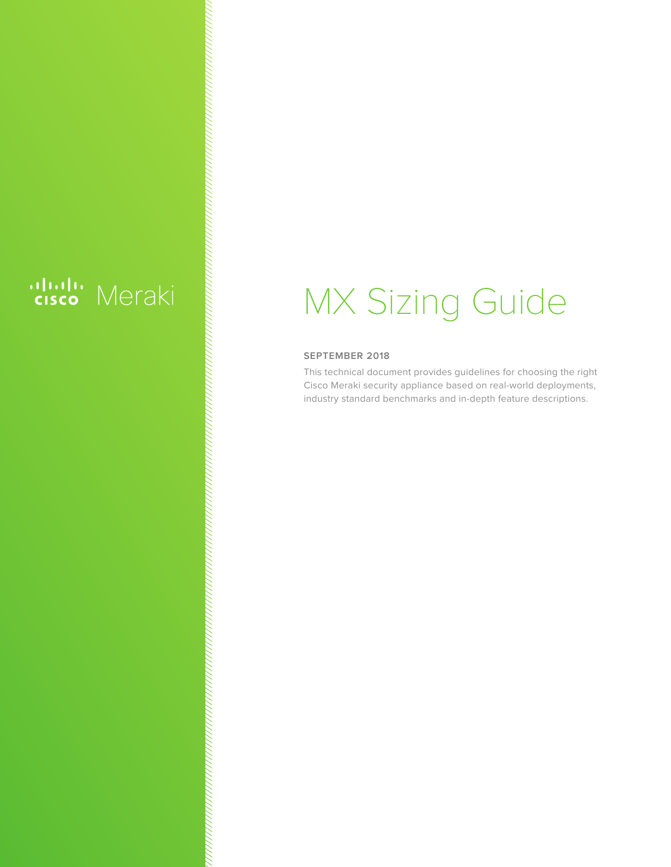## ululu Meraki

# MX Sizing Guide

#### **SEPTEMBER 2018**

This technical document provides guidelines for choosing the right Cisco Meraki security appliance based on real-world deployments, industry standard benchmarks and in-depth feature descriptions.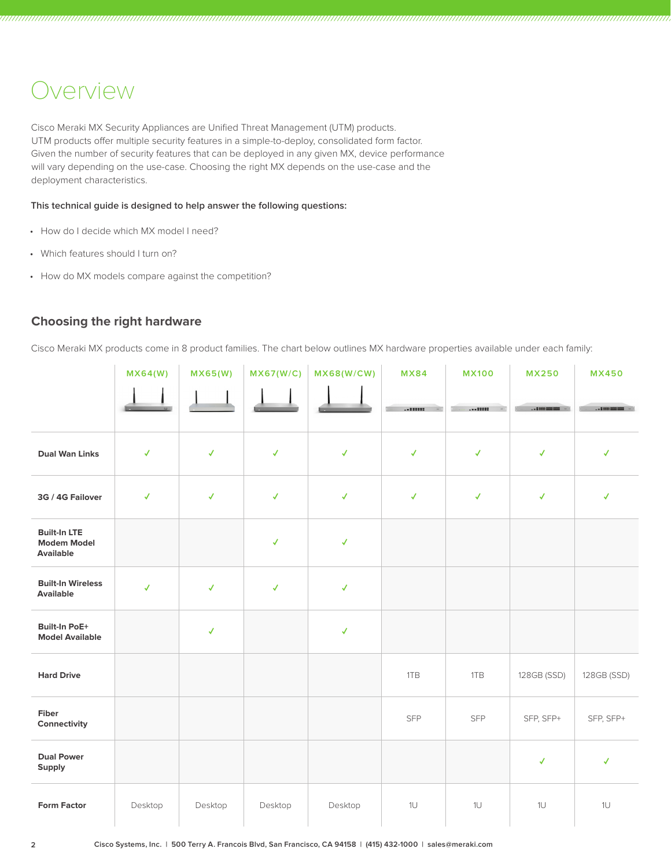#### Overview

Cisco Meraki MX Security Appliances are Unified Threat Management (UTM) products. UTM products offer multiple security features in a simple-to-deploy, consolidated form factor. Given the number of security features that can be deployed in any given MX, device performance will vary depending on the use-case. Choosing the right MX depends on the use-case and the deployment characteristics.

**This technical guide is designed to help answer the following questions:**

- How do I decide which MX model I need?
- Which features should I turn on?
- How do MX models compare against the competition?

#### **Choosing the right hardware**

Cisco Meraki MX products come in 8 product families. The chart below outlines MX hardware properties available under each family:

|                                                               | MX64(W)      | MX65(W)      | MX67(W/C)    | MX68(W/CW)   | <b>MX84</b>  | <b>MX100</b> | <b>MX250</b> | <b>MX450</b>                                                                                                            |
|---------------------------------------------------------------|--------------|--------------|--------------|--------------|--------------|--------------|--------------|-------------------------------------------------------------------------------------------------------------------------|
|                                                               |              |              |              |              |              |              |              | $\begin{array}{l} \begin{array}{c} \begin{array}{c} \begin{array}{c} \end{array}\\ \end{array} \end{array} \end{array}$ |
| <b>Dual Wan Links</b>                                         | $\checkmark$ | $\checkmark$ | $\checkmark$ | $\checkmark$ | $\checkmark$ | $\checkmark$ | $\checkmark$ | $\checkmark$                                                                                                            |
| 3G / 4G Failover                                              | $\checkmark$ | $\checkmark$ | $\checkmark$ | $\checkmark$ | $\checkmark$ | $\checkmark$ | $\checkmark$ | $\checkmark$                                                                                                            |
| <b>Built-In LTE</b><br><b>Modem Model</b><br><b>Available</b> |              |              | $\checkmark$ | $\checkmark$ |              |              |              |                                                                                                                         |
| <b>Built-In Wireless</b><br>Available                         | $\checkmark$ | √            | $\checkmark$ | $\checkmark$ |              |              |              |                                                                                                                         |
| <b>Built-In PoE+</b><br><b>Model Available</b>                |              | √            |              | $\checkmark$ |              |              |              |                                                                                                                         |
| <b>Hard Drive</b>                                             |              |              |              |              | 1TB          | 1TB          | 128GB (SSD)  | 128GB (SSD)                                                                                                             |
| Fiber<br>Connectivity                                         |              |              |              |              | SFP          | <b>SFP</b>   | SFP, SFP+    | SFP, SFP+                                                                                                               |
| <b>Dual Power</b><br>Supply                                   |              |              |              |              |              |              | $\checkmark$ | √                                                                                                                       |
| <b>Form Factor</b>                                            | Desktop      | Desktop      | Desktop      | Desktop      | 1U           | 1U           | 1U           | 1U                                                                                                                      |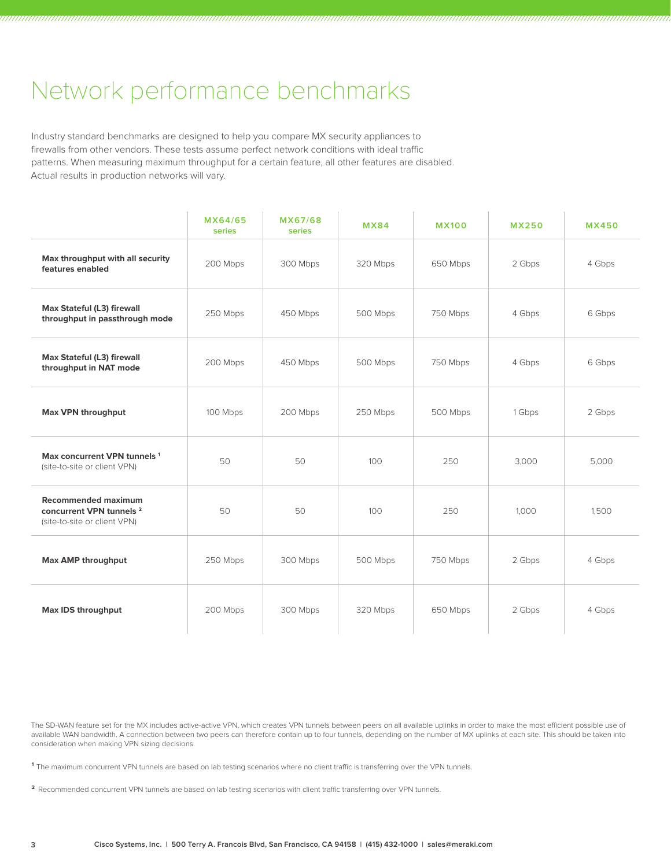### Network performance benchmarks

Industry standard benchmarks are designed to help you compare MX security appliances to firewalls from other vendors. These tests assume perfect network conditions with ideal traffic patterns. When measuring maximum throughput for a certain feature, all other features are disabled. Actual results in production networks will vary.

|                                                                                                   | MX64/65<br>series | MX67/68<br>series | <b>MX84</b> | <b>MX100</b> | <b>MX250</b> | <b>MX450</b> |
|---------------------------------------------------------------------------------------------------|-------------------|-------------------|-------------|--------------|--------------|--------------|
| Max throughput with all security<br>features enabled                                              | 200 Mbps          | 300 Mbps          | 320 Mbps    | 650 Mbps     | 2 Gbps       | 4 Gbps       |
| Max Stateful (L3) firewall<br>throughput in passthrough mode                                      | 250 Mbps          | 450 Mbps          | 500 Mbps    | 750 Mbps     | 4 Gbps       | 6 Gbps       |
| Max Stateful (L3) firewall<br>throughput in NAT mode                                              | 200 Mbps          | 450 Mbps          | 500 Mbps    | 750 Mbps     | 4 Gbps       | 6 Gbps       |
| <b>Max VPN throughput</b>                                                                         | 100 Mbps          | 200 Mbps          | 250 Mbps    | 500 Mbps     | 1 Gbps       | 2 Gbps       |
| Max concurrent VPN tunnels <sup>1</sup><br>(site-to-site or client VPN)                           | 50                | 50                | 100         | 250          | 3,000        | 5,000        |
| <b>Recommended maximum</b><br>concurrent VPN tunnels <sup>2</sup><br>(site-to-site or client VPN) | 50                | 50                | 100         | 250          | 1,000        | 1,500        |
| Max AMP throughput                                                                                | 250 Mbps          | 300 Mbps          | 500 Mbps    | 750 Mbps     | 2 Gbps       | 4 Gbps       |
| Max IDS throughput                                                                                | 200 Mbps          | 300 Mbps          | 320 Mbps    | 650 Mbps     | 2 Gbps       | 4 Gbps       |

The SD-WAN feature set for the MX includes active-active VPN, which creates VPN tunnels between peers on all available uplinks in order to make the most efficient possible use of available WAN bandwidth. A connection between two peers can therefore contain up to four tunnels, depending on the number of MX uplinks at each site. This should be taken into consideration when making VPN sizing decisions.

**<sup>1</sup>**The maximum concurrent VPN tunnels are based on lab testing scenarios where no client traffic is transferring over the VPN tunnels.

**<sup>2</sup>**Recommended concurrent VPN tunnels are based on lab testing scenarios with client traffic transferring over VPN tunnels.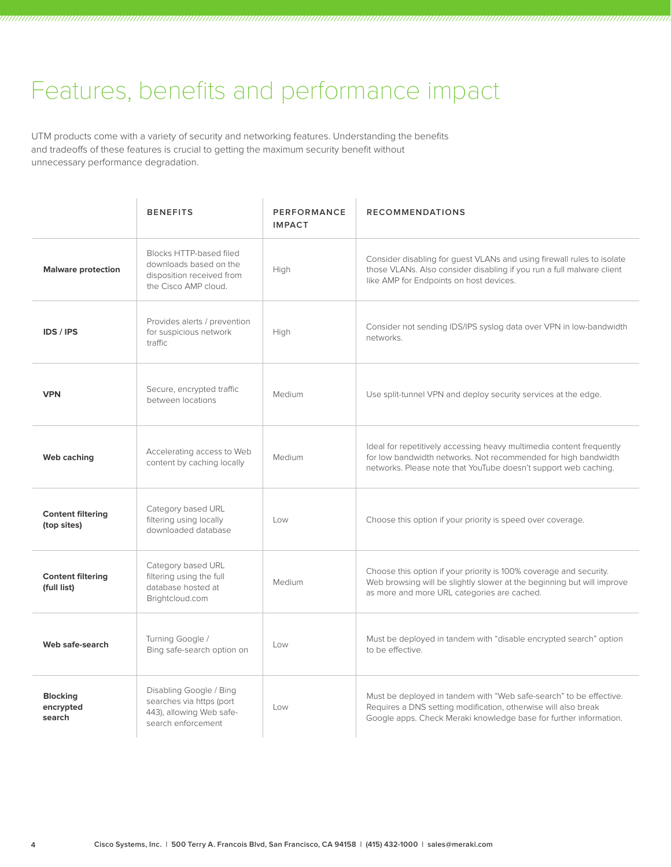## Features, benefits and performance impact

UTM products come with a variety of security and networking features. Understanding the benefits and tradeoffs of these features is crucial to getting the maximum security benefit without unnecessary performance degradation.

|                                         | <b>BENEFITS</b>                                                                                        | PERFORMANCE<br><b>IMPACT</b> | <b>RECOMMENDATIONS</b>                                                                                                                                                                                    |
|-----------------------------------------|--------------------------------------------------------------------------------------------------------|------------------------------|-----------------------------------------------------------------------------------------------------------------------------------------------------------------------------------------------------------|
| <b>Malware protection</b>               | Blocks HTTP-based filed<br>downloads based on the<br>disposition received from<br>the Cisco AMP cloud. | High                         | Consider disabling for guest VLANs and using firewall rules to isolate<br>those VLANs. Also consider disabling if you run a full malware client<br>like AMP for Endpoints on host devices.                |
| <b>IDS / IPS</b>                        | Provides alerts / prevention<br>for suspicious network<br>traffic                                      | High                         | Consider not sending IDS/IPS syslog data over VPN in low-bandwidth<br>networks.                                                                                                                           |
| <b>VPN</b>                              | Secure, encrypted traffic<br>between locations                                                         | Medium                       | Use split-tunnel VPN and deploy security services at the edge.                                                                                                                                            |
| Web caching                             | Accelerating access to Web<br>content by caching locally                                               | Medium                       | Ideal for repetitively accessing heavy multimedia content frequently<br>for low bandwidth networks. Not recommended for high bandwidth<br>networks. Please note that YouTube doesn't support web caching. |
| <b>Content filtering</b><br>(top sites) | Category based URL<br>filtering using locally<br>downloaded database                                   | Low                          | Choose this option if your priority is speed over coverage.                                                                                                                                               |
| <b>Content filtering</b><br>(full list) | Category based URL<br>filtering using the full<br>database hosted at<br>Brightcloud.com                | Medium                       | Choose this option if your priority is 100% coverage and security.<br>Web browsing will be slightly slower at the beginning but will improve<br>as more and more URL categories are cached.               |
| Web safe-search                         | Turning Google /<br>Bing safe-search option on                                                         | Low                          | Must be deployed in tandem with "disable encrypted search" option<br>to be effective.                                                                                                                     |
| <b>Blocking</b><br>encrypted<br>search  | Disabling Google / Bing<br>searches via https (port<br>443), allowing Web safe-<br>search enforcement  | Low                          | Must be deployed in tandem with "Web safe-search" to be effective.<br>Requires a DNS setting modification, otherwise will also break<br>Google apps. Check Meraki knowledge base for further information. |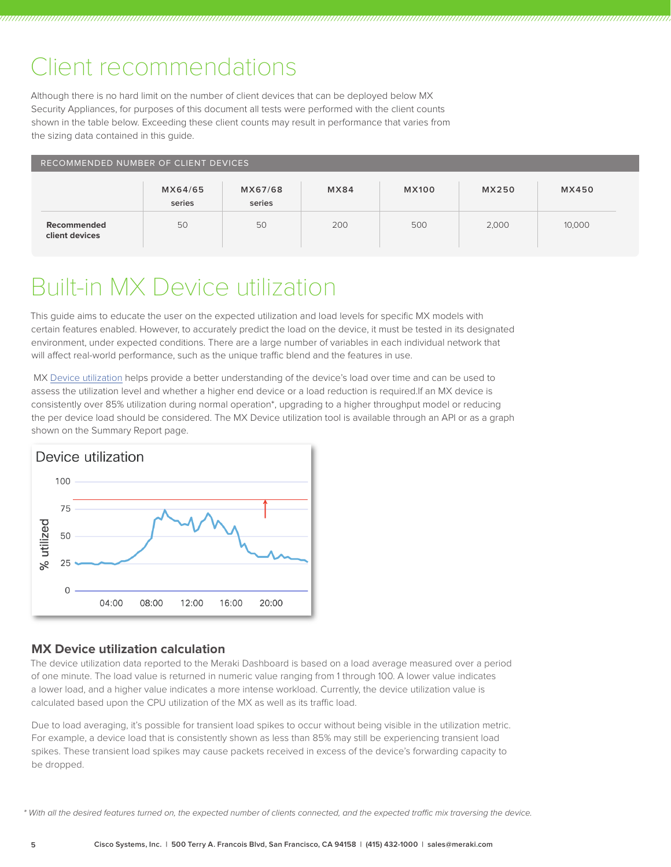### Client recommendations

Although there is no hard limit on the number of client devices that can be deployed below MX Security Appliances, for purposes of this document all tests were performed with the client counts shown in the table below. Exceeding these client counts may result in performance that varies from the sizing data contained in this guide.

| RECOMMENDED NUMBER OF CLIENT DEVICES |                   |                   |      |              |       |        |  |
|--------------------------------------|-------------------|-------------------|------|--------------|-------|--------|--|
|                                      | MX64/65<br>series | MX67/68<br>series | MX84 | <b>MX100</b> | MX250 | MX450  |  |
| Recommended<br>client devices        | 50                | 50                | 200  | 500          | 2,000 | 10,000 |  |

## Built-in MX Device utilization

This guide aims to educate the user on the expected utilization and load levels for specific MX models with certain features enabled. However, to accurately predict the load on the device, it must be tested in its designated environment, under expected conditions. There are a large number of variables in each individual network that will affect real-world performance, such as the unique traffic blend and the features in use.

 MX [Device utilization](https://documentation.meraki.com/MX/Monitoring_and_Reporting/Load_Monitoring) helps provide a better understanding of the device's load over time and can be used to assess the utilization level and whether a higher end device or a load reduction is required.If an MX device is consistently over 85% utilization during normal operation\*, upgrading to a higher throughput model or reducing the per device load should be considered. The MX Device utilization tool is available through an API or as a graph shown on the Summary Report page.



#### **MX Device utilization calculation**

The device utilization data reported to the Meraki Dashboard is based on a load average measured over a period of one minute. The load value is returned in numeric value ranging from 1 through 100. A lower value indicates a lower load, and a higher value indicates a more intense workload. Currently, the device utilization value is calculated based upon the CPU utilization of the MX as well as its traffic load.

Due to load averaging, it's possible for transient load spikes to occur without being visible in the utilization metric. For example, a device load that is consistently shown as less than 85% may still be experiencing transient load spikes. These transient load spikes may cause packets received in excess of the device's forwarding capacity to be dropped.

*<sup>\*</sup> With all the desired features turned on, the expected number of clients connected, and the expected traffic mix traversing the device.*